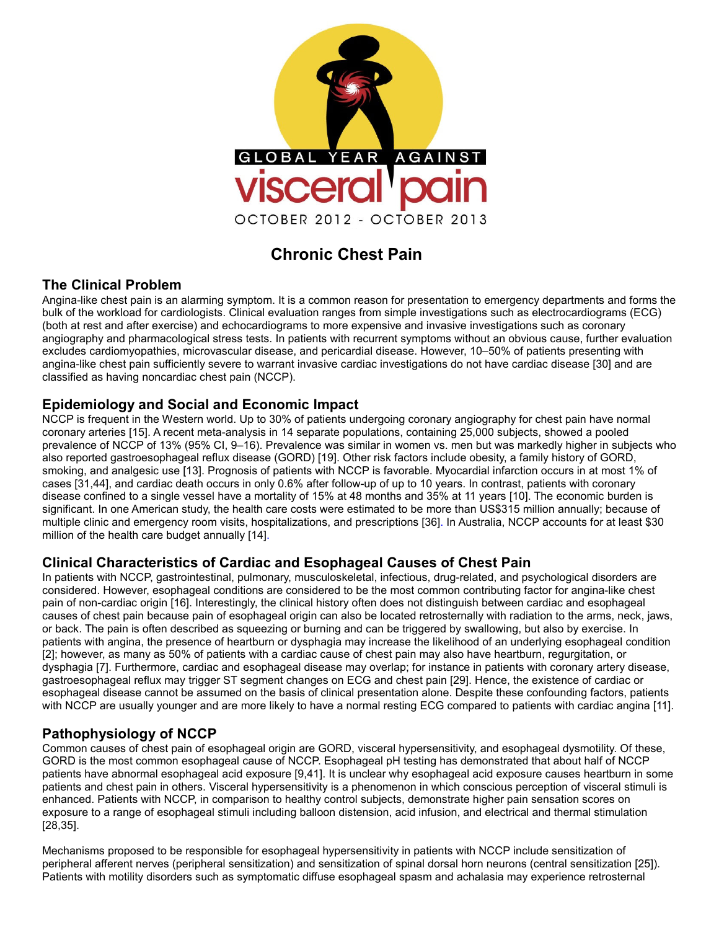

# **Chronic Chest Pain**

# **The Clinical Problem**

Angina-like chest pain is an alarming symptom. It is a common reason for presentation to emergency departments and forms the bulk of the workload for cardiologists. Clinical evaluation ranges from simple investigations such as electrocardiograms (ECG) (both at rest and after exercise) and echocardiograms to more expensive and invasive investigations such as coronary angiography and pharmacological stress tests. In patients with recurrent symptoms without an obvious cause, further evaluation excludes cardiomyopathies, microvascular disease, and pericardial disease. However, 10–50% of patients presenting with angina-like chest pain sufficiently severe to warrant invasive cardiac investigations do not have cardiac disease [30] and are classified as having noncardiac chest pain (NCCP).

# **Epidemiology and Social and Economic Impact**

NCCP is frequent in the Western world. Up to 30% of patients undergoing coronary angiography for chest pain have normal coronary arteries [15]. A recent meta-analysis in 14 separate populations, containing 25,000 subjects, showed a pooled prevalence of NCCP of 13% (95% CI, 9–16). Prevalence was similar in women vs. men but was markedly higher in subjects who also reported gastroesophageal reflux disease (GORD) [19]. Other risk factors include obesity, a family history of GORD, smoking, and analgesic use [13]. Prognosis of patients with NCCP is favorable. Myocardial infarction occurs in at most 1% of cases [31,44], and cardiac death occurs in only 0.6% after follow-up of up to 10 years. In contrast, patients with coronary disease confined to a single vessel have a mortality of 15% at 48 months and 35% at 11 years [10]. The economic burden is significant. In one American study, the health care costs were estimated to be more than US\$315 million annually; because of multiple clinic and emergency room visits, hospitalizations, and prescriptions [36]. In Australia, NCCP accounts for at least \$30 million of the health care budget annually [14].

# **Clinical Characteristics of Cardiac and Esophageal Causes of Chest Pain**

In patients with NCCP, gastrointestinal, pulmonary, musculoskeletal, infectious, drug-related, and psychological disorders are considered. However, esophageal conditions are considered to be the most common contributing factor for angina-like chest pain of non-cardiac origin [16]. Interestingly, the clinical history often does not distinguish between cardiac and esophageal causes of chest pain because pain of esophageal origin can also be located retrosternally with radiation to the arms, neck, jaws, or back. The pain is often described as squeezing or burning and can be triggered by swallowing, but also by exercise. In patients with angina, the presence of heartburn or dysphagia may increase the likelihood of an underlying esophageal condition [2]; however, as many as 50% of patients with a cardiac cause of chest pain may also have heartburn, regurgitation, or dysphagia [7]. Furthermore, cardiac and esophageal disease may overlap; for instance in patients with coronary artery disease, gastroesophageal reflux may trigger ST segment changes on ECG and chest pain [29]. Hence, the existence of cardiac or esophageal disease cannot be assumed on the basis of clinical presentation alone. Despite these confounding factors, patients with NCCP are usually younger and are more likely to have a normal resting ECG compared to patients with cardiac angina [11].

# **Pathophysiology of NCCP**

Common causes of chest pain of esophageal origin are GORD, visceral hypersensitivity, and esophageal dysmotility. Of these, GORD is the most common esophageal cause of NCCP. Esophageal pH testing has demonstrated that about half of NCCP patients have abnormal esophageal acid exposure [9,41]. It is unclear why esophageal acid exposure causes heartburn in some patients and chest pain in others. Visceral hypersensitivity is a phenomenon in which conscious perception of visceral stimuli is enhanced. Patients with NCCP, in comparison to healthy control subjects, demonstrate higher pain sensation scores on exposure to a range of esophageal stimuli including balloon distension, acid infusion, and electrical and thermal stimulation [28,35].

Mechanisms proposed to be responsible for esophageal hypersensitivity in patients with NCCP include sensitization of peripheral afferent nerves (peripheral sensitization) and sensitization of spinal dorsal horn neurons (central sensitization [25]). Patients with motility disorders such as symptomatic diffuse esophageal spasm and achalasia may experience retrosternal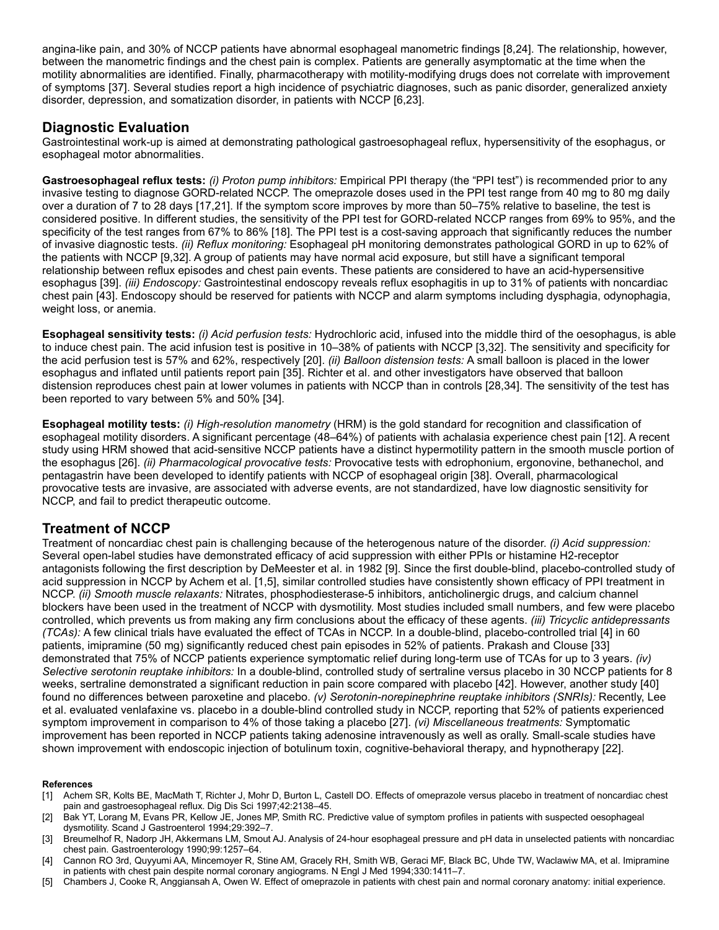angina-like pain, and 30% of NCCP patients have abnormal esophageal manometric findings [8,24]. The relationship, however, between the manometric findings and the chest pain is complex. Patients are generally asymptomatic at the time when the motility abnormalities are identified. Finally, pharmacotherapy with motility-modifying drugs does not correlate with improvement of symptoms [37]. Several studies report a high incidence of psychiatric diagnoses, such as panic disorder, generalized anxiety disorder, depression, and somatization disorder, in patients with NCCP [6,23].

# **Diagnostic Evaluation**

Gastrointestinal work-up is aimed at demonstrating pathological gastroesophageal reflux, hypersensitivity of the esophagus, or esophageal motor abnormalities.

**Gastroesophageal reflux tests:** *(i) Proton pump inhibitors:* Empirical PPI therapy (the "PPI test") is recommended prior to any invasive testing to diagnose GORD-related NCCP. The omeprazole doses used in the PPI test range from 40 mg to 80 mg daily over a duration of 7 to 28 days [17,21]. If the symptom score improves by more than 50–75% relative to baseline, the test is considered positive. In different studies, the sensitivity of the PPI test for GORD-related NCCP ranges from 69% to 95%, and the specificity of the test ranges from 67% to 86% [18]. The PPI test is a cost-saving approach that significantly reduces the number of invasive diagnostic tests. *(ii) Reflux monitoring:* Esophageal pH monitoring demonstrates pathological GORD in up to 62% of the patients with NCCP [9,32]. A group of patients may have normal acid exposure, but still have a significant temporal relationship between reflux episodes and chest pain events. These patients are considered to have an acid-hypersensitive esophagus [39]. *(iii) Endoscopy:* Gastrointestinal endoscopy reveals reflux esophagitis in up to 31% of patients with noncardiac chest pain [43]. Endoscopy should be reserved for patients with NCCP and alarm symptoms including dysphagia, odynophagia, weight loss, or anemia.

**Esophageal sensitivity tests:** *(i) Acid perfusion tests:* Hydrochloric acid, infused into the middle third of the oesophagus, is able to induce chest pain. The acid infusion test is positive in 10–38% of patients with NCCP [3,32]. The sensitivity and specificity for the acid perfusion test is 57% and 62%, respectively [20]. *(ii) Balloon distension tests:* A small balloon is placed in the lower esophagus and inflated until patients report pain [35]. Richter et al. and other investigators have observed that balloon distension reproduces chest pain at lower volumes in patients with NCCP than in controls [28,34]. The sensitivity of the test has been reported to vary between 5% and 50% [34].

**Esophageal motility tests:** *(i) High-resolution manometry* (HRM) is the gold standard for recognition and classification of esophageal motility disorders. A significant percentage (48–64%) of patients with achalasia experience chest pain [12]. A recent study using HRM showed that acid-sensitive NCCP patients have a distinct hypermotility pattern in the smooth muscle portion of the esophagus [26]. *(ii) Pharmacological provocative tests:* Provocative tests with edrophonium, ergonovine, bethanechol, and pentagastrin have been developed to identify patients with NCCP of esophageal origin [38]. Overall, pharmacological provocative tests are invasive, are associated with adverse events, are not standardized, have low diagnostic sensitivity for NCCP, and fail to predict therapeutic outcome.

# **Treatment of NCCP**

Treatment of noncardiac chest pain is challenging because of the heterogenous nature of the disorder. *(i) Acid suppression:* Several open-label studies have demonstrated efficacy of acid suppression with either PPIs or histamine H2-receptor antagonists following the first description by DeMeester et al. in 1982 [9]. Since the first double-blind, placebo-controlled study of acid suppression in NCCP by Achem et al. [1,5], similar controlled studies have consistently shown efficacy of PPI treatment in NCCP. *(ii) Smooth muscle relaxants:* Nitrates, phosphodiesterase-5 inhibitors, anticholinergic drugs, and calcium channel blockers have been used in the treatment of NCCP with dysmotility. Most studies included small numbers, and few were placebo controlled, which prevents us from making any firm conclusions about the efficacy of these agents. *(iii) Tricyclic antidepressants (TCAs):* A few clinical trials have evaluated the effect of TCAs in NCCP. In a double-blind, placebo-controlled trial [4] in 60 patients, imipramine (50 mg) significantly reduced chest pain episodes in 52% of patients. Prakash and Clouse [33] demonstrated that 75% of NCCP patients experience symptomatic relief during long-term use of TCAs for up to 3 years. *(iv) Selective serotonin reuptake inhibitors:* In a double-blind, controlled study of sertraline versus placebo in 30 NCCP patients for 8 weeks, sertraline demonstrated a significant reduction in pain score compared with placebo [42]. However, another study [40] found no differences between paroxetine and placebo. *(v) Serotonin-norepinephrine reuptake inhibitors (SNRIs):* Recently, Lee et al. evaluated venlafaxine vs. placebo in a double-blind controlled study in NCCP, reporting that 52% of patients experienced symptom improvement in comparison to 4% of those taking a placebo [27]. *(vi) Miscellaneous treatments:* Symptomatic improvement has been reported in NCCP patients taking adenosine intravenously as well as orally. Small-scale studies have shown improvement with endoscopic injection of botulinum toxin, cognitive-behavioral therapy, and hypnotherapy [22].

#### **References**

- [1] Achem SR, Kolts BE, MacMath T, Richter J, Mohr D, Burton L, Castell DO. Effects of omeprazole versus placebo in treatment of noncardiac chest pain and gastroesophageal reflux. Dig Dis Sci 1997;42:2138–45.
- [2] Bak YT, Lorang M, Evans PR, Kellow JE, Jones MP, Smith RC. Predictive value of symptom profiles in patients with suspected oesophageal dysmotility. Scand J Gastroenterol 1994;29:392–7.
- [3] Breumelhof R, Nadorp JH, Akkermans LM, Smout AJ. Analysis of 24-hour esophageal pressure and pH data in unselected patients with noncardiac chest pain. Gastroenterology 1990;99:1257–64.
- [4] Cannon RO 3rd, Quyyumi AA, Mincemoyer R, Stine AM, Gracely RH, Smith WB, Geraci MF, Black BC, Uhde TW, Waclawiw MA, et al. Imipramine in patients with chest pain despite normal coronary angiograms. N Engl J Med 1994;330:1411–7.
- [5] Chambers J, Cooke R, Anggiansah A, Owen W. Effect of omeprazole in patients with chest pain and normal coronary anatomy: initial experience.